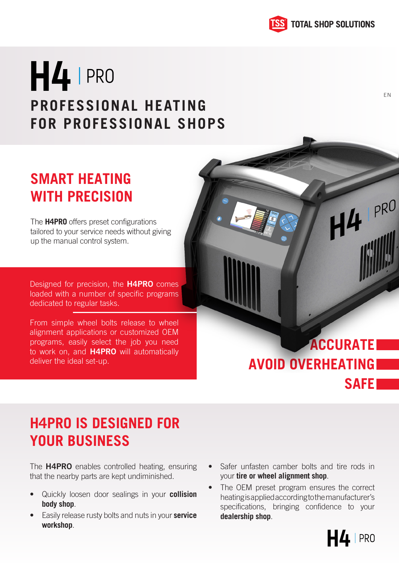

EN

 $H4$  PRO

# H4 PRO **PROFESSIONAL HEATING FOR PROFESSIONAL SHOPS**

### **SMART HEATING WITH PRECISION**

The **H4PRO** offers preset configurations tailored to your service needs without giving up the manual control system.

Designed for precision, the **H4PRO** comes loaded with a number of specific programs dedicated to regular tasks.

From simple wheel bolts release to wheel alignment applications or customized OEM programs, easily select the job you need to work on, and **H4PRO** will automatically deliver the ideal set-up.

## **ACCURATE AVOID OVERHEATING SAFE**

### **H4PRO IS DESIGNED FOR YOUR BUSINESS**

The **H4PRO** enables controlled heating, ensuring that the nearby parts are kept undiminished.

- Quickly loosen door sealings in your **collision body shop**.
- Easily release rusty bolts and nuts in your **service workshop**.
- Safer unfasten camber bolts and tire rods in your **tire or wheel alignment shop**.
- The OEM preset program ensures the correct heating is applied according to the manufacturer's specifications, bringing confidence to your **dealership shop**.